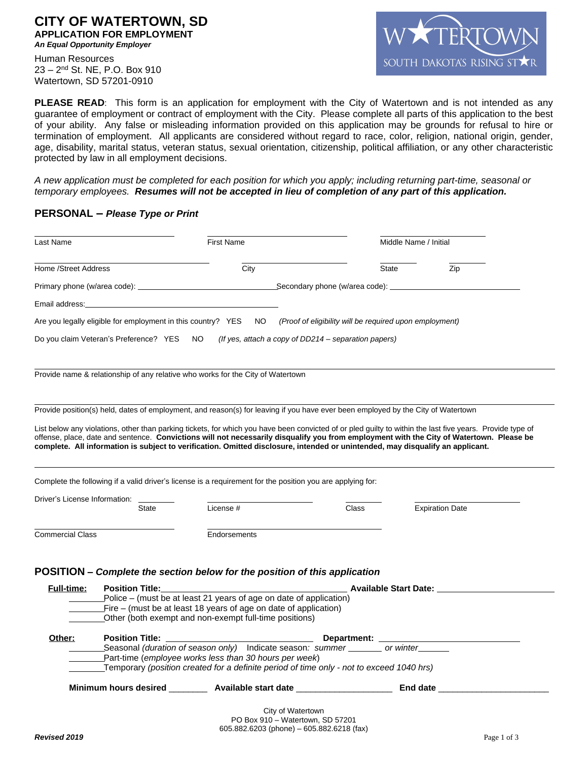### **CITY OF WATERTOWN, SD APPLICATION FOR EMPLOYMENT** *An Equal Opportunity Employer*

Human Resources 23 – 2nd St. NE, P.O. Box 910 Watertown, SD 57201-0910



**PLEASE READ**: This form is an application for employment with the City of Watertown and is not intended as any guarantee of employment or contract of employment with the City. Please complete all parts of this application to the best of your ability. Any false or misleading information provided on this application may be grounds for refusal to hire or termination of employment. All applicants are considered without regard to race, color, religion, national origin, gender, age, disability, marital status, veteran status, sexual orientation, citizenship, political affiliation, or any other characteristic protected by law in all employment decisions.

*A new application must be completed for each position for which you apply; including returning part-time, seasonal or temporary employees. Resumes will not be accepted in lieu of completion of any part of this application.*

## **PERSONAL** *– Please Type or Print*

| Last Name                                                                          |                                           | <b>First Name</b>                                                                                                                                  |       | Middle Name / Initial                                                                                                                                                                                                                                                                                 |
|------------------------------------------------------------------------------------|-------------------------------------------|----------------------------------------------------------------------------------------------------------------------------------------------------|-------|-------------------------------------------------------------------------------------------------------------------------------------------------------------------------------------------------------------------------------------------------------------------------------------------------------|
| Home /Street Address                                                               |                                           | City                                                                                                                                               | State | Zip                                                                                                                                                                                                                                                                                                   |
|                                                                                    |                                           |                                                                                                                                                    |       |                                                                                                                                                                                                                                                                                                       |
| Email address:                                                                     |                                           |                                                                                                                                                    |       |                                                                                                                                                                                                                                                                                                       |
|                                                                                    |                                           | Are you legally eligible for employment in this country? YES NO (Proof of eligibility will be required upon employment)                            |       |                                                                                                                                                                                                                                                                                                       |
|                                                                                    | Do you claim Veteran's Preference? YES NO | (If yes, attach a copy of DD214 – separation papers)                                                                                               |       |                                                                                                                                                                                                                                                                                                       |
|                                                                                    |                                           | Provide name & relationship of any relative who works for the City of Watertown                                                                    |       |                                                                                                                                                                                                                                                                                                       |
|                                                                                    |                                           | Provide position(s) held, dates of employment, and reason(s) for leaving if you have ever been employed by the City of Watertown                   |       |                                                                                                                                                                                                                                                                                                       |
|                                                                                    |                                           | complete. All information is subject to verification. Omitted disclosure, intended or unintended, may disqualify an applicant.                     |       | List below any violations, other than parking tickets, for which you have been convicted of or pled guilty to within the last five years. Provide type of<br>offense, place, date and sentence. Convictions will not necessarily disqualify you from employment with the City of Watertown. Please be |
|                                                                                    |                                           | Complete the following if a valid driver's license is a requirement for the position you are applying for:                                         |       |                                                                                                                                                                                                                                                                                                       |
| Driver's License Information:                                                      |                                           |                                                                                                                                                    |       |                                                                                                                                                                                                                                                                                                       |
|                                                                                    | <b>State</b>                              | License #                                                                                                                                          | Class | <b>Expiration Date</b>                                                                                                                                                                                                                                                                                |
| <b>Commercial Class</b>                                                            |                                           | Endorsements                                                                                                                                       |       |                                                                                                                                                                                                                                                                                                       |
|                                                                                    |                                           |                                                                                                                                                    |       |                                                                                                                                                                                                                                                                                                       |
|                                                                                    |                                           | POSITION – Complete the section below for the position of this application                                                                         |       |                                                                                                                                                                                                                                                                                                       |
| <b>Full-time:</b>                                                                  | <b>Position Title:</b>                    | Police – (must be at least 21 years of age on date of application)                                                                                 |       | Available Start Date: ________________                                                                                                                                                                                                                                                                |
|                                                                                    |                                           | Fire – (must be at least 18 years of age on date of application)                                                                                   |       |                                                                                                                                                                                                                                                                                                       |
|                                                                                    |                                           | Other (both exempt and non-exempt full-time positions)                                                                                             |       |                                                                                                                                                                                                                                                                                                       |
| Other:                                                                             | <b>Position Title:</b>                    |                                                                                                                                                    |       |                                                                                                                                                                                                                                                                                                       |
| Seasonal (duration of season only) Indicate season: summer _______ or winter______ |                                           |                                                                                                                                                    |       |                                                                                                                                                                                                                                                                                                       |
|                                                                                    |                                           | Part-time (employee works less than 30 hours per week)<br>Temporary (position created for a definite period of time only - not to exceed 1040 hrs) |       |                                                                                                                                                                                                                                                                                                       |
|                                                                                    |                                           | Minimum hours desired __________ Available start date _____________________                                                                        |       | End date ___                                                                                                                                                                                                                                                                                          |
|                                                                                    |                                           | City of Watertown                                                                                                                                  |       |                                                                                                                                                                                                                                                                                                       |
|                                                                                    |                                           | PO Box 910 - Watertown, SD 57201<br>605.882.6203 (phone) - 605.882.6218 (fax)                                                                      |       |                                                                                                                                                                                                                                                                                                       |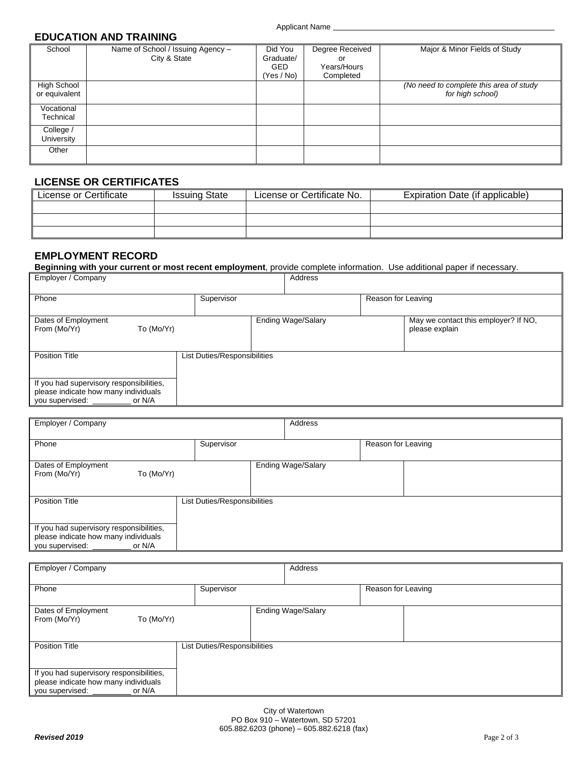## **EDUCATION AND TRAINING**

| School                       | Name of School / Issuing Agency -<br>City & State | Did You<br>Graduate/<br><b>GED</b><br>(Yes / No) | Degree Received<br>or<br>Years/Hours<br>Completed | Major & Minor Fields of Study                               |
|------------------------------|---------------------------------------------------|--------------------------------------------------|---------------------------------------------------|-------------------------------------------------------------|
| High School<br>or equivalent |                                                   |                                                  |                                                   | (No need to complete this area of study<br>for high school) |
| Vocational<br>Technical      |                                                   |                                                  |                                                   |                                                             |
| College /<br>University      |                                                   |                                                  |                                                   |                                                             |
| Other                        |                                                   |                                                  |                                                   |                                                             |

# **LICENSE OR CERTIFICATES**

| License or Certificate | <b>Issuing State</b> | License or Certificate No. | Expiration Date (if applicable) |
|------------------------|----------------------|----------------------------|---------------------------------|
|                        |                      |                            |                                 |
|                        |                      |                            |                                 |
|                        |                      |                            |                                 |

# **EMPLOYMENT RECORD**

**Beginning with your current or most recent employment**, provide complete information. Use additional paper if necessary.

| Employer / Company                                                                                            |                              | Address                   |                                                        |
|---------------------------------------------------------------------------------------------------------------|------------------------------|---------------------------|--------------------------------------------------------|
| Phone                                                                                                         | Supervisor                   |                           | Reason for Leaving                                     |
| Dates of Employment<br>From (Mo/Yr)<br>To (Mo/Yr)                                                             |                              | <b>Ending Wage/Salary</b> | May we contact this employer? If NO,<br>please explain |
| <b>Position Title</b>                                                                                         | List Duties/Responsibilities |                           |                                                        |
| If you had supervisory responsibilities,<br>please indicate how many individuals<br>you supervised:<br>or N/A |                              |                           |                                                        |

| Employer / Company                                                                                            |            | Address                   |                    |
|---------------------------------------------------------------------------------------------------------------|------------|---------------------------|--------------------|
| Phone                                                                                                         | Supervisor |                           | Reason for Leaving |
| Dates of Employment<br>From (Mo/Yr)<br>To (Mo/Yr)                                                             |            | <b>Ending Wage/Salary</b> |                    |
| <b>Position Title</b><br>List Duties/Responsibilities                                                         |            |                           |                    |
| If you had supervisory responsibilities,<br>please indicate how many individuals<br>you supervised:<br>or N/A |            |                           |                    |

| Employer / Company                                                                                            |            | Address            |                    |
|---------------------------------------------------------------------------------------------------------------|------------|--------------------|--------------------|
| Phone                                                                                                         | Supervisor |                    | Reason for Leaving |
| Dates of Employment<br>From (Mo/Yr)<br>To (Mo/Yr)                                                             |            | Ending Wage/Salary |                    |
| <b>Position Title</b><br>List Duties/Responsibilities                                                         |            |                    |                    |
| If you had supervisory responsibilities,<br>please indicate how many individuals<br>you supervised:<br>or N/A |            |                    |                    |